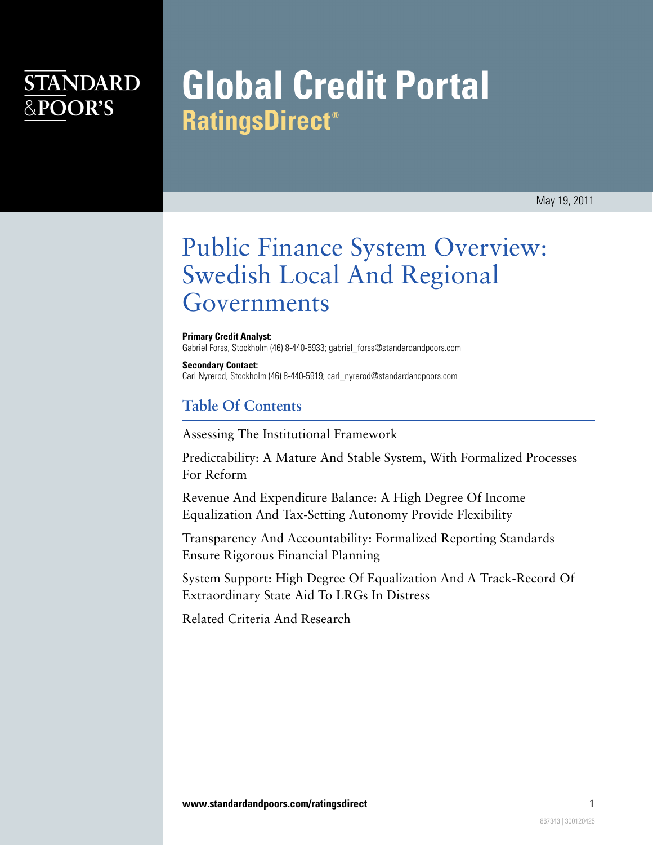## **STANDARD** &POOR'S

# **Global Credit Portal RatingsDirect®**

## Public Finance System Overview: Swedish Local And Regional Governments

**Primary Credit Analyst:** Gabriel Forss, Stockholm (46) 8-440-5933; gabriel\_forss@standardandpoors.com

**Secondary Contact:** Carl Nyrerod, Stockholm (46) 8-440-5919; carl\_nyrerod@standardandpoors.com

## **Table Of Contents**

[Assessing The Institutional Framework](#page-2-0)

[Predictability: A Mature And Stable System, With Formalized Processes](#page-3-0) [For Reform](#page-3-0)

[Revenue And Expenditure Balance: A High Degree Of Income](#page-3-1) [Equalization And Tax-Setting Autonomy Provide Flexibility](#page-3-1)

[Transparency And Accountability: Formalized Reporting Standards](#page-8-0) [Ensure Rigorous Financial Planning](#page-8-0)

[System Support: High Degree Of Equalization And A Track-Record Of](#page-8-1) [Extraordinary State Aid To LRGs In Distress](#page-8-1)

[Related Criteria And Research](#page-9-0)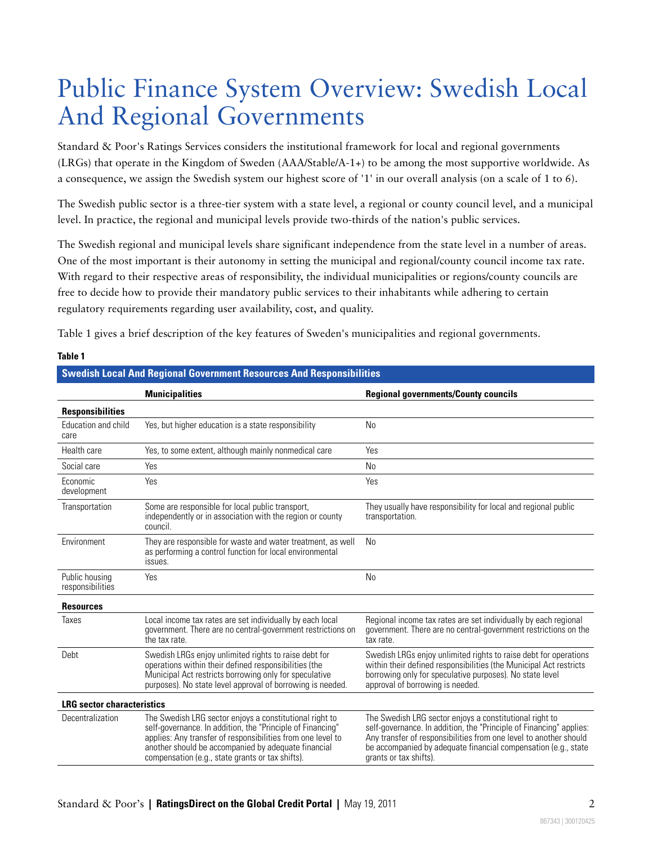## Public Finance System Overview: Swedish Local And Regional Governments

Standard & Poor's Ratings Services considers the institutional framework for local and regional governments (LRGs) that operate in the Kingdom of Sweden (AAA/Stable/A-1+) to be among the most supportive worldwide. As a consequence, we assign the Swedish system our highest score of '1' in our overall analysis (on a scale of 1 to 6).

The Swedish public sector is a three-tier system with a state level, a regional or county council level, and a municipal level. In practice, the regional and municipal levels provide two-thirds of the nation's public services.

The Swedish regional and municipal levels share significant independence from the state level in a number of areas. One of the most important is their autonomy in setting the municipal and regional/county council income tax rate. With regard to their respective areas of responsibility, the individual municipalities or regions/county councils are free to decide how to provide their mandatory public services to their inhabitants while adhering to certain regulatory requirements regarding user availability, cost, and quality.

Table 1 gives a brief description of the key features of Sweden's municipalities and regional governments.

| <b>Swedish Local And Regional Government Resources And Responsibilities</b> |                                                                                                                                                                                                                                                                                                 |                                                                                                                                                                                                                                                                                                 |  |  |
|-----------------------------------------------------------------------------|-------------------------------------------------------------------------------------------------------------------------------------------------------------------------------------------------------------------------------------------------------------------------------------------------|-------------------------------------------------------------------------------------------------------------------------------------------------------------------------------------------------------------------------------------------------------------------------------------------------|--|--|
|                                                                             | <b>Municipalities</b>                                                                                                                                                                                                                                                                           | <b>Regional governments/County councils</b>                                                                                                                                                                                                                                                     |  |  |
| <b>Responsibilities</b>                                                     |                                                                                                                                                                                                                                                                                                 |                                                                                                                                                                                                                                                                                                 |  |  |
| Education and child<br>care                                                 | Yes, but higher education is a state responsibility                                                                                                                                                                                                                                             | <b>No</b>                                                                                                                                                                                                                                                                                       |  |  |
| Health care                                                                 | Yes, to some extent, although mainly nonmedical care                                                                                                                                                                                                                                            | Yes                                                                                                                                                                                                                                                                                             |  |  |
| Social care                                                                 | Yes                                                                                                                                                                                                                                                                                             | <b>No</b>                                                                                                                                                                                                                                                                                       |  |  |
| Economic<br>development                                                     | Yes                                                                                                                                                                                                                                                                                             | Yes                                                                                                                                                                                                                                                                                             |  |  |
| Transportation                                                              | Some are responsible for local public transport,<br>independently or in association with the region or county<br>council.                                                                                                                                                                       | They usually have responsibility for local and regional public<br>transportation.                                                                                                                                                                                                               |  |  |
| Environment                                                                 | They are responsible for waste and water treatment, as well<br>as performing a control function for local environmental<br>issues.                                                                                                                                                              | <b>No</b>                                                                                                                                                                                                                                                                                       |  |  |
| Public housing<br>responsibilities                                          | Yes                                                                                                                                                                                                                                                                                             | <b>No</b>                                                                                                                                                                                                                                                                                       |  |  |
| <b>Resources</b>                                                            |                                                                                                                                                                                                                                                                                                 |                                                                                                                                                                                                                                                                                                 |  |  |
| Taxes                                                                       | Local income tax rates are set individually by each local<br>government. There are no central-government restrictions on<br>the tax rate.                                                                                                                                                       | Regional income tax rates are set individually by each regional<br>government. There are no central-government restrictions on the<br>tax rate.                                                                                                                                                 |  |  |
| Debt                                                                        | Swedish LRGs enjoy unlimited rights to raise debt for<br>operations within their defined responsibilities (the<br>Municipal Act restricts borrowing only for speculative<br>purposes). No state level approval of borrowing is needed.                                                          | Swedish LRGs enjoy unlimited rights to raise debt for operations<br>within their defined responsibilities (the Municipal Act restricts<br>borrowing only for speculative purposes). No state level<br>approval of borrowing is needed.                                                          |  |  |
| <b>LRG</b> sector characteristics                                           |                                                                                                                                                                                                                                                                                                 |                                                                                                                                                                                                                                                                                                 |  |  |
| Decentralization                                                            | The Swedish LRG sector enjoys a constitutional right to<br>self-governance. In addition, the "Principle of Financing"<br>applies: Any transfer of responsibilities from one level to<br>another should be accompanied by adequate financial<br>compensation (e.g., state grants or tax shifts). | The Swedish LRG sector enjoys a constitutional right to<br>self-governance. In addition, the "Principle of Financing" applies:<br>Any transfer of responsibilities from one level to another should<br>be accompanied by adequate financial compensation (e.g., state<br>grants or tax shifts). |  |  |

#### **Table 1**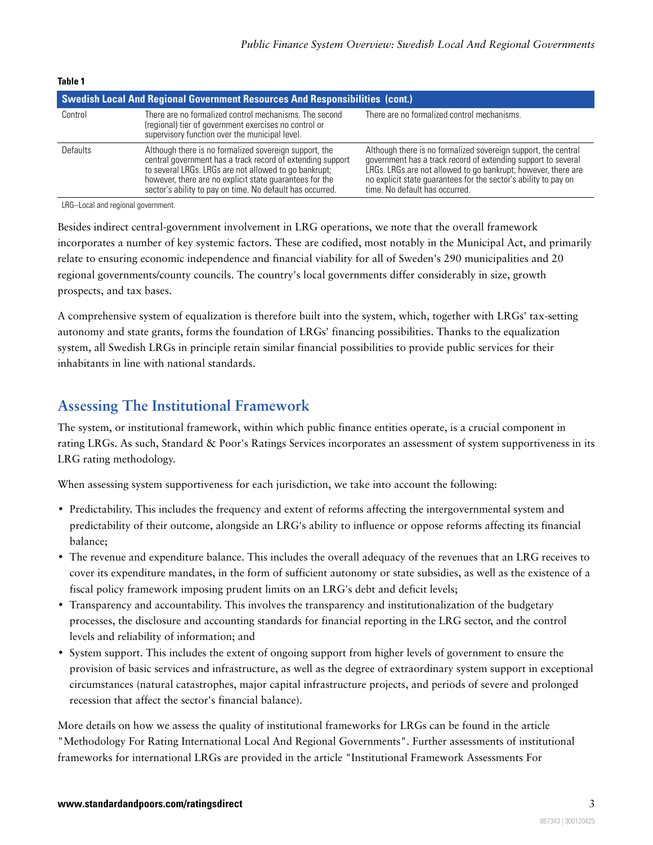| IAUIG I                                                                             |                                                                                                                                                                                                                                                                                                       |                                                                                                                                                                                                                                                                                                       |  |  |  |
|-------------------------------------------------------------------------------------|-------------------------------------------------------------------------------------------------------------------------------------------------------------------------------------------------------------------------------------------------------------------------------------------------------|-------------------------------------------------------------------------------------------------------------------------------------------------------------------------------------------------------------------------------------------------------------------------------------------------------|--|--|--|
| <b>Swedish Local And Regional Government Resources And Responsibilities (cont.)</b> |                                                                                                                                                                                                                                                                                                       |                                                                                                                                                                                                                                                                                                       |  |  |  |
| Control                                                                             | There are no formalized control mechanisms. The second<br>(regional) tier of government exercises no control or<br>supervisory function over the municipal level.                                                                                                                                     | There are no formalized control mechanisms.                                                                                                                                                                                                                                                           |  |  |  |
| <b>Defaults</b>                                                                     | Although there is no formalized sovereign support, the<br>central government has a track record of extending support<br>to several LRGs. LRGs are not allowed to go bankrupt;<br>however, there are no explicit state quarantees for the<br>sector's ability to pay on time. No default has occurred. | Although there is no formalized sovereign support, the central<br>government has a track record of extending support to several<br>LRGs. LRGs are not allowed to go bankrupt; however, there are<br>no explicit state quarantees for the sector's ability to pay on<br>time. No default has occurred. |  |  |  |

**Table 1**

LRG--Local and regional government.

Besides indirect central-government involvement in LRG operations, we note that the overall framework incorporates a number of key systemic factors. These are codified, most notably in the Municipal Act, and primarily relate to ensuring economic independence and financial viability for all of Sweden's 290 municipalities and 20 regional governments/county councils. The country's local governments differ considerably in size, growth prospects, and tax bases.

A comprehensive system of equalization is therefore built into the system, which, together with LRGs' tax-setting autonomy and state grants, forms the foundation of LRGs' financing possibilities. Thanks to the equalization system, all Swedish LRGs in principle retain similar financial possibilities to provide public services for their inhabitants in line with national standards.

## <span id="page-2-0"></span>**Assessing The Institutional Framework**

The system, or institutional framework, within which public finance entities operate, is a crucial component in rating LRGs. As such, Standard & Poor's Ratings Services incorporates an assessment of system supportiveness in its LRG rating methodology.

When assessing system supportiveness for each jurisdiction, we take into account the following:

- Predictability. This includes the frequency and extent of reforms affecting the intergovernmental system and predictability of their outcome, alongside an LRG's ability to influence or oppose reforms affecting its financial balance;
- The revenue and expenditure balance. This includes the overall adequacy of the revenues that an LRG receives to cover its expenditure mandates, in the form of sufficient autonomy or state subsidies, as well as the existence of a fiscal policy framework imposing prudent limits on an LRG's debt and deficit levels;
- Transparency and accountability. This involves the transparency and institutionalization of the budgetary processes, the disclosure and accounting standards for financial reporting in the LRG sector, and the control levels and reliability of information; and
- System support. This includes the extent of ongoing support from higher levels of government to ensure the provision of basic services and infrastructure, as well as the degree of extraordinary system support in exceptional circumstances (natural catastrophes, major capital infrastructure projects, and periods of severe and prolonged recession that affect the sector's financial balance).

More details on how we assess the quality of institutional frameworks for LRGs can be found in the article "Methodology For Rating International Local And Regional Governments". Further assessments of institutional frameworks for international LRGs are provided in the article "Institutional Framework Assessments For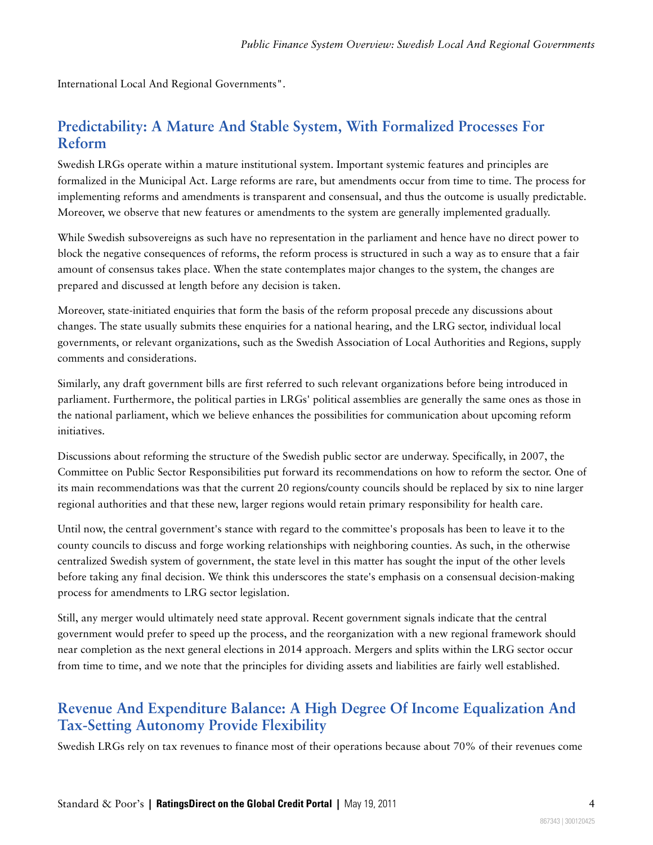<span id="page-3-0"></span>International Local And Regional Governments".

## **Predictability: A Mature And Stable System, With Formalized Processes For Reform**

Swedish LRGs operate within a mature institutional system. Important systemic features and principles are formalized in the Municipal Act. Large reforms are rare, but amendments occur from time to time. The process for implementing reforms and amendments is transparent and consensual, and thus the outcome is usually predictable. Moreover, we observe that new features or amendments to the system are generally implemented gradually.

While Swedish subsovereigns as such have no representation in the parliament and hence have no direct power to block the negative consequences of reforms, the reform process is structured in such a way as to ensure that a fair amount of consensus takes place. When the state contemplates major changes to the system, the changes are prepared and discussed at length before any decision is taken.

Moreover, state-initiated enquiries that form the basis of the reform proposal precede any discussions about changes. The state usually submits these enquiries for a national hearing, and the LRG sector, individual local governments, or relevant organizations, such as the Swedish Association of Local Authorities and Regions, supply comments and considerations.

Similarly, any draft government bills are first referred to such relevant organizations before being introduced in parliament. Furthermore, the political parties in LRGs' political assemblies are generally the same ones as those in the national parliament, which we believe enhances the possibilities for communication about upcoming reform initiatives.

Discussions about reforming the structure of the Swedish public sector are underway. Specifically, in 2007, the Committee on Public Sector Responsibilities put forward its recommendations on how to reform the sector. One of its main recommendations was that the current 20 regions/county councils should be replaced by six to nine larger regional authorities and that these new, larger regions would retain primary responsibility for health care.

Until now, the central government's stance with regard to the committee's proposals has been to leave it to the county councils to discuss and forge working relationships with neighboring counties. As such, in the otherwise centralized Swedish system of government, the state level in this matter has sought the input of the other levels before taking any final decision. We think this underscores the state's emphasis on a consensual decision-making process for amendments to LRG sector legislation.

Still, any merger would ultimately need state approval. Recent government signals indicate that the central government would prefer to speed up the process, and the reorganization with a new regional framework should near completion as the next general elections in 2014 approach. Mergers and splits within the LRG sector occur from time to time, and we note that the principles for dividing assets and liabilities are fairly well established.

## <span id="page-3-1"></span>**Revenue And Expenditure Balance: A High Degree Of Income Equalization And Tax-Setting Autonomy Provide Flexibility**

Swedish LRGs rely on tax revenues to finance most of their operations because about 70% of their revenues come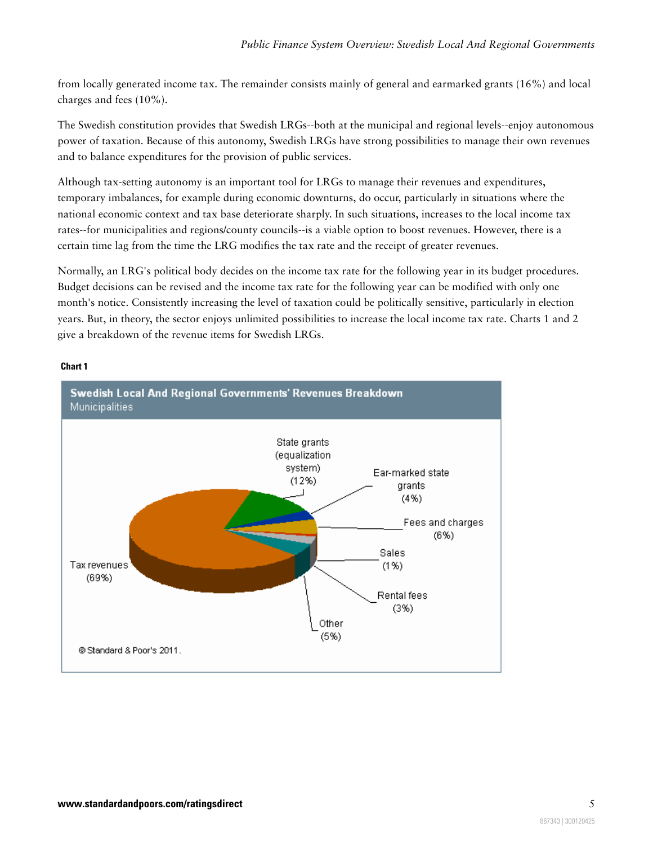from locally generated income tax. The remainder consists mainly of general and earmarked grants (16%) and local charges and fees (10%).

The Swedish constitution provides that Swedish LRGs--both at the municipal and regional levels--enjoy autonomous power of taxation. Because of this autonomy, Swedish LRGs have strong possibilities to manage their own revenues and to balance expenditures for the provision of public services.

Although tax-setting autonomy is an important tool for LRGs to manage their revenues and expenditures, temporary imbalances, for example during economic downturns, do occur, particularly in situations where the national economic context and tax base deteriorate sharply. In such situations, increases to the local income tax rates--for municipalities and regions/county councils--is a viable option to boost revenues. However, there is a certain time lag from the time the LRG modifies the tax rate and the receipt of greater revenues.

Normally, an LRG's political body decides on the income tax rate for the following year in its budget procedures. Budget decisions can be revised and the income tax rate for the following year can be modified with only one month's notice. Consistently increasing the level of taxation could be politically sensitive, particularly in election years. But, in theory, the sector enjoys unlimited possibilities to increase the local income tax rate. Charts 1 and 2 give a breakdown of the revenue items for Swedish LRGs.

#### **Chart 1**

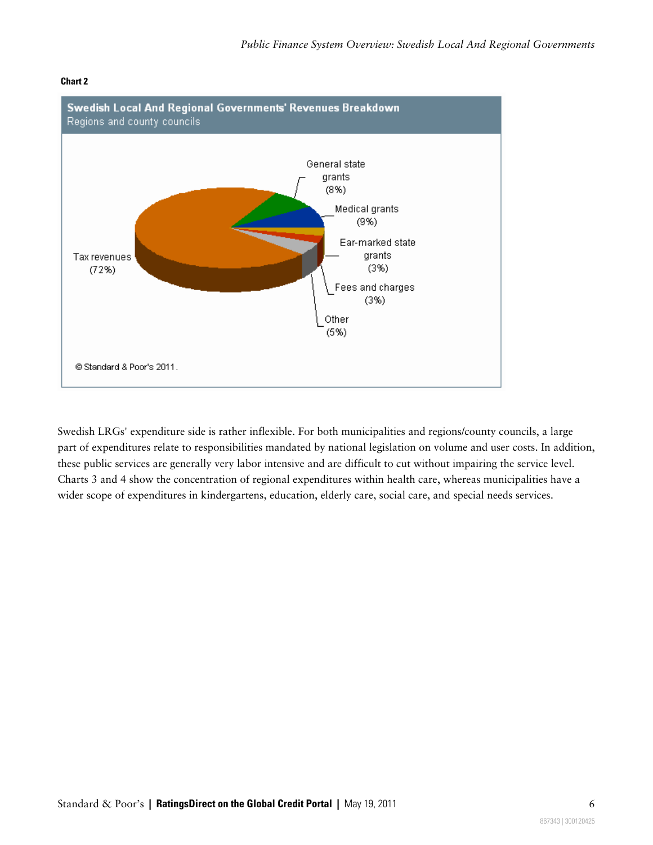

#### **Chart 2**

Swedish LRGs' expenditure side is rather inflexible. For both municipalities and regions/county councils, a large part of expenditures relate to responsibilities mandated by national legislation on volume and user costs. In addition, these public services are generally very labor intensive and are difficult to cut without impairing the service level. Charts 3 and 4 show the concentration of regional expenditures within health care, whereas municipalities have a wider scope of expenditures in kindergartens, education, elderly care, social care, and special needs services.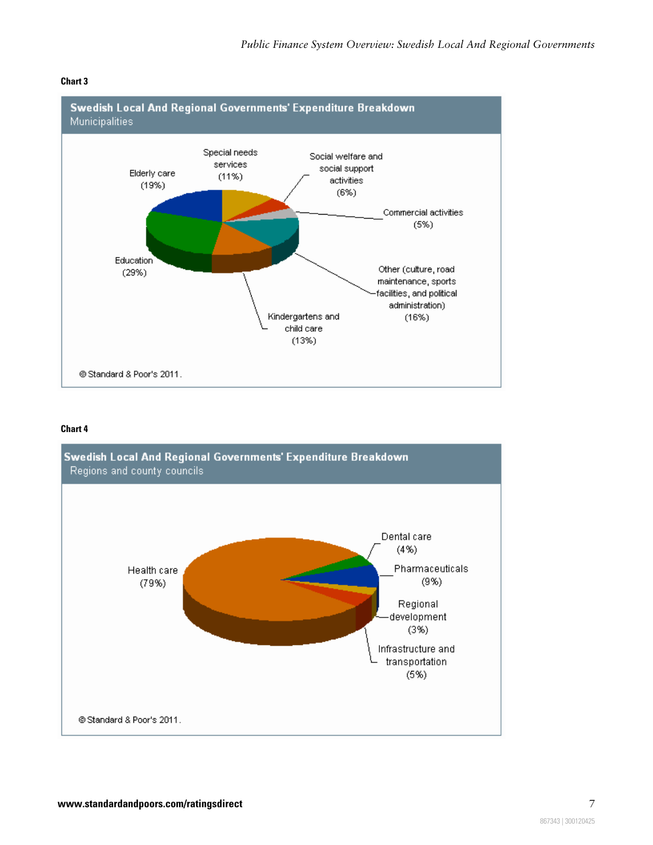

#### **Chart 3**

#### **Chart 4**

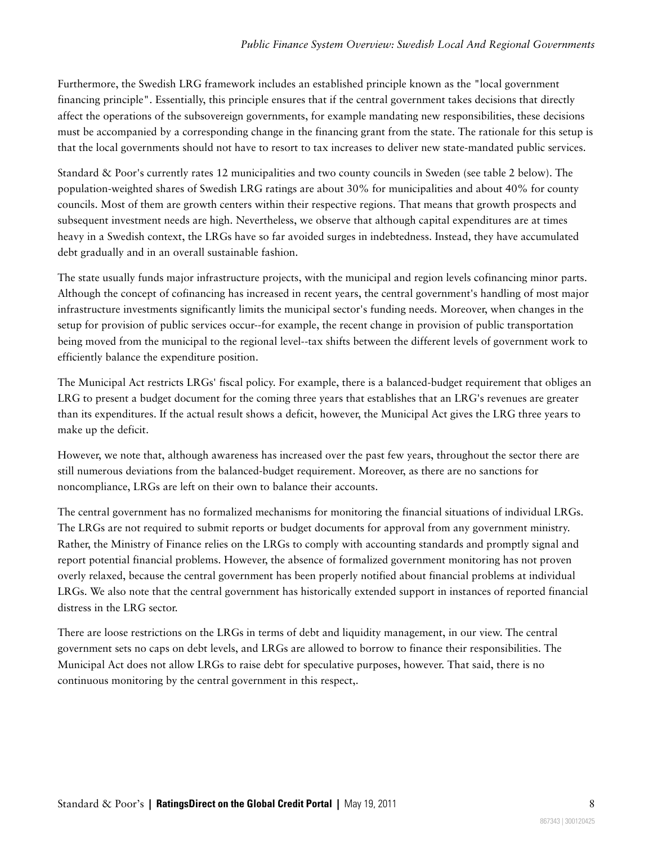Furthermore, the Swedish LRG framework includes an established principle known as the "local government financing principle". Essentially, this principle ensures that if the central government takes decisions that directly affect the operations of the subsovereign governments, for example mandating new responsibilities, these decisions must be accompanied by a corresponding change in the financing grant from the state. The rationale for this setup is that the local governments should not have to resort to tax increases to deliver new state-mandated public services.

Standard & Poor's currently rates 12 municipalities and two county councils in Sweden (see table 2 below). The population-weighted shares of Swedish LRG ratings are about 30% for municipalities and about 40% for county councils. Most of them are growth centers within their respective regions. That means that growth prospects and subsequent investment needs are high. Nevertheless, we observe that although capital expenditures are at times heavy in a Swedish context, the LRGs have so far avoided surges in indebtedness. Instead, they have accumulated debt gradually and in an overall sustainable fashion.

The state usually funds major infrastructure projects, with the municipal and region levels cofinancing minor parts. Although the concept of cofinancing has increased in recent years, the central government's handling of most major infrastructure investments significantly limits the municipal sector's funding needs. Moreover, when changes in the setup for provision of public services occur--for example, the recent change in provision of public transportation being moved from the municipal to the regional level--tax shifts between the different levels of government work to efficiently balance the expenditure position.

The Municipal Act restricts LRGs' fiscal policy. For example, there is a balanced-budget requirement that obliges an LRG to present a budget document for the coming three years that establishes that an LRG's revenues are greater than its expenditures. If the actual result shows a deficit, however, the Municipal Act gives the LRG three years to make up the deficit.

However, we note that, although awareness has increased over the past few years, throughout the sector there are still numerous deviations from the balanced-budget requirement. Moreover, as there are no sanctions for noncompliance, LRGs are left on their own to balance their accounts.

The central government has no formalized mechanisms for monitoring the financial situations of individual LRGs. The LRGs are not required to submit reports or budget documents for approval from any government ministry. Rather, the Ministry of Finance relies on the LRGs to comply with accounting standards and promptly signal and report potential financial problems. However, the absence of formalized government monitoring has not proven overly relaxed, because the central government has been properly notified about financial problems at individual LRGs. We also note that the central government has historically extended support in instances of reported financial distress in the LRG sector.

There are loose restrictions on the LRGs in terms of debt and liquidity management, in our view. The central government sets no caps on debt levels, and LRGs are allowed to borrow to finance their responsibilities. The Municipal Act does not allow LRGs to raise debt for speculative purposes, however. That said, there is no continuous monitoring by the central government in this respect,.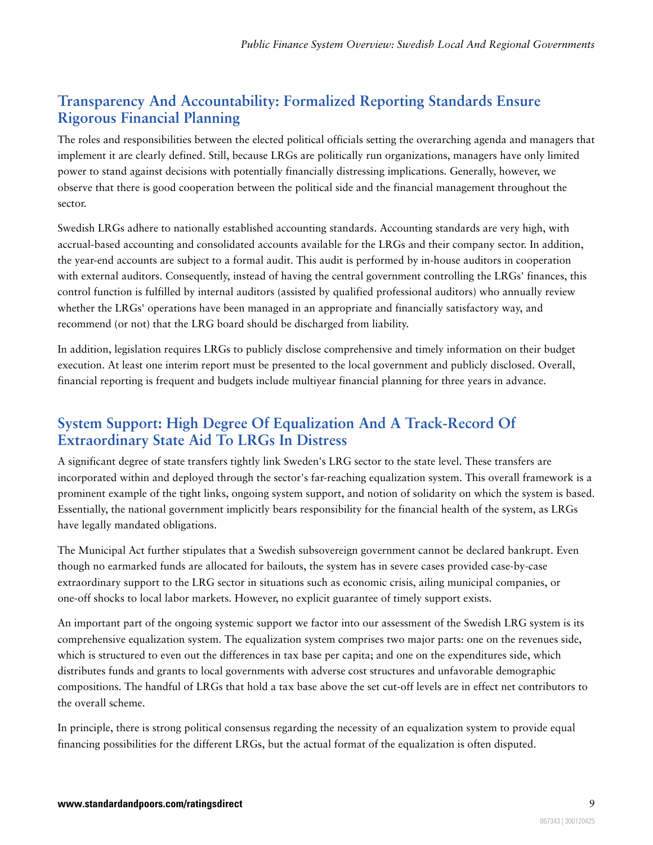## <span id="page-8-0"></span>**Transparency And Accountability: Formalized Reporting Standards Ensure Rigorous Financial Planning**

The roles and responsibilities between the elected political officials setting the overarching agenda and managers that implement it are clearly defined. Still, because LRGs are politically run organizations, managers have only limited power to stand against decisions with potentially financially distressing implications. Generally, however, we observe that there is good cooperation between the political side and the financial management throughout the sector.

Swedish LRGs adhere to nationally established accounting standards. Accounting standards are very high, with accrual-based accounting and consolidated accounts available for the LRGs and their company sector. In addition, the year-end accounts are subject to a formal audit. This audit is performed by in-house auditors in cooperation with external auditors. Consequently, instead of having the central government controlling the LRGs' finances, this control function is fulfilled by internal auditors (assisted by qualified professional auditors) who annually review whether the LRGs' operations have been managed in an appropriate and financially satisfactory way, and recommend (or not) that the LRG board should be discharged from liability.

In addition, legislation requires LRGs to publicly disclose comprehensive and timely information on their budget execution. At least one interim report must be presented to the local government and publicly disclosed. Overall, financial reporting is frequent and budgets include multiyear financial planning for three years in advance.

## <span id="page-8-1"></span>**System Support: High Degree Of Equalization And A Track-Record Of Extraordinary State Aid To LRGs In Distress**

A significant degree of state transfers tightly link Sweden's LRG sector to the state level. These transfers are incorporated within and deployed through the sector's far-reaching equalization system. This overall framework is a prominent example of the tight links, ongoing system support, and notion of solidarity on which the system is based. Essentially, the national government implicitly bears responsibility for the financial health of the system, as LRGs have legally mandated obligations.

The Municipal Act further stipulates that a Swedish subsovereign government cannot be declared bankrupt. Even though no earmarked funds are allocated for bailouts, the system has in severe cases provided case-by-case extraordinary support to the LRG sector in situations such as economic crisis, ailing municipal companies, or one-off shocks to local labor markets. However, no explicit guarantee of timely support exists.

An important part of the ongoing systemic support we factor into our assessment of the Swedish LRG system is its comprehensive equalization system. The equalization system comprises two major parts: one on the revenues side, which is structured to even out the differences in tax base per capita; and one on the expenditures side, which distributes funds and grants to local governments with adverse cost structures and unfavorable demographic compositions. The handful of LRGs that hold a tax base above the set cut-off levels are in effect net contributors to the overall scheme.

In principle, there is strong political consensus regarding the necessity of an equalization system to provide equal financing possibilities for the different LRGs, but the actual format of the equalization is often disputed.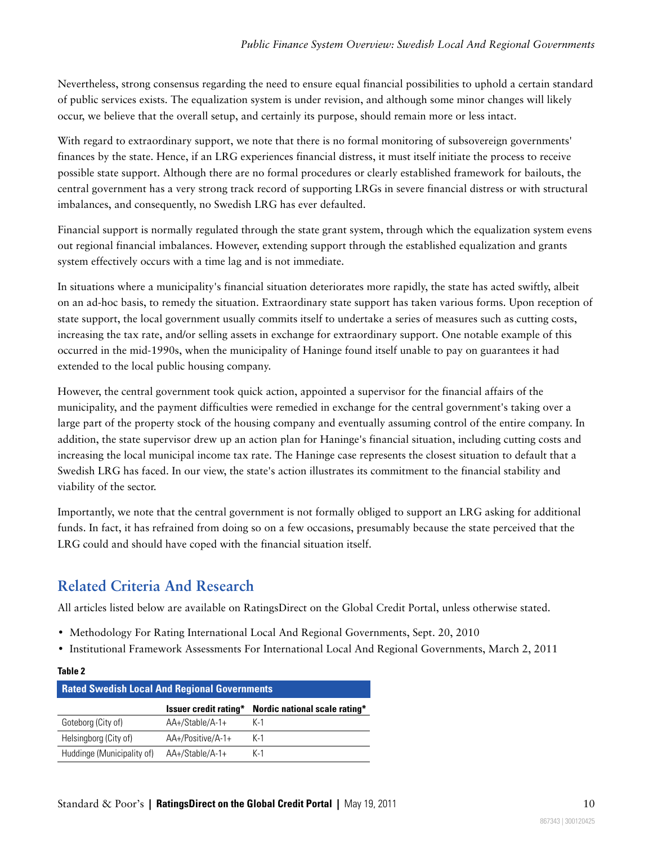Nevertheless, strong consensus regarding the need to ensure equal financial possibilities to uphold a certain standard of public services exists. The equalization system is under revision, and although some minor changes will likely occur, we believe that the overall setup, and certainly its purpose, should remain more or less intact.

With regard to extraordinary support, we note that there is no formal monitoring of subsovereign governments' finances by the state. Hence, if an LRG experiences financial distress, it must itself initiate the process to receive possible state support. Although there are no formal procedures or clearly established framework for bailouts, the central government has a very strong track record of supporting LRGs in severe financial distress or with structural imbalances, and consequently, no Swedish LRG has ever defaulted.

Financial support is normally regulated through the state grant system, through which the equalization system evens out regional financial imbalances. However, extending support through the established equalization and grants system effectively occurs with a time lag and is not immediate.

In situations where a municipality's financial situation deteriorates more rapidly, the state has acted swiftly, albeit on an ad-hoc basis, to remedy the situation. Extraordinary state support has taken various forms. Upon reception of state support, the local government usually commits itself to undertake a series of measures such as cutting costs, increasing the tax rate, and/or selling assets in exchange for extraordinary support. One notable example of this occurred in the mid-1990s, when the municipality of Haninge found itself unable to pay on guarantees it had extended to the local public housing company.

However, the central government took quick action, appointed a supervisor for the financial affairs of the municipality, and the payment difficulties were remedied in exchange for the central government's taking over a large part of the property stock of the housing company and eventually assuming control of the entire company. In addition, the state supervisor drew up an action plan for Haninge's financial situation, including cutting costs and increasing the local municipal income tax rate. The Haninge case represents the closest situation to default that a Swedish LRG has faced. In our view, the state's action illustrates its commitment to the financial stability and viability of the sector.

Importantly, we note that the central government is not formally obliged to support an LRG asking for additional funds. In fact, it has refrained from doing so on a few occasions, presumably because the state perceived that the LRG could and should have coped with the financial situation itself.

## <span id="page-9-0"></span>**Related Criteria And Research**

All articles listed below are available on RatingsDirect on the Global Credit Portal, unless otherwise stated.

- Methodology For Rating International Local And Regional Governments, Sept. 20, 2010
- Institutional Framework Assessments For International Local And Regional Governments, March 2, 2011

#### **Table 2**

| <b>Rated Swedish Local And Regional Governments</b> |                   |                                                     |  |  |  |
|-----------------------------------------------------|-------------------|-----------------------------------------------------|--|--|--|
|                                                     |                   | Issuer credit rating* Nordic national scale rating* |  |  |  |
| Goteborg (City of)                                  | AA+/Stable/A-1+   | K-1                                                 |  |  |  |
| Helsingborg (City of)                               | AA+/Positive/A-1+ | $K-1$                                               |  |  |  |
| Huddinge (Municipality of)                          | AA+/Stable/A-1+   | $K-1$                                               |  |  |  |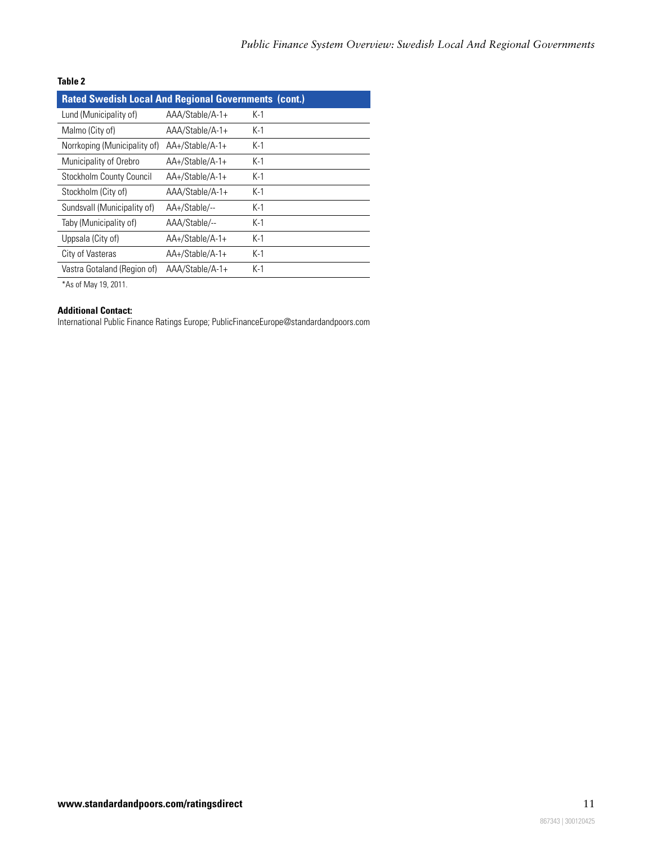#### **Table 2**

| <b>Rated Swedish Local And Regional Governments (cont.)</b> |                 |       |  |  |  |
|-------------------------------------------------------------|-----------------|-------|--|--|--|
| Lund (Municipality of)                                      | AAA/Stable/A-1+ | K-1   |  |  |  |
| Malmo (City of)                                             | AAA/Stable/A-1+ | $K-1$ |  |  |  |
| Norrkoping (Municipality of)                                | AA+/Stable/A-1+ | $K-1$ |  |  |  |
| Municipality of Orebro                                      | AA+/Stable/A-1+ | $K-1$ |  |  |  |
| Stockholm County Council                                    | AA+/Stable/A-1+ | $K-1$ |  |  |  |
| Stockholm (City of)                                         | AAA/Stable/A-1+ | $K-1$ |  |  |  |
| Sundsvall (Municipality of)                                 | AA+/Stable/--   | $K-1$ |  |  |  |
| Taby (Municipality of)                                      | AAA/Stable/--   | $K-1$ |  |  |  |
| Uppsala (City of)                                           | AA+/Stable/A-1+ | $K-1$ |  |  |  |
| City of Vasteras                                            | AA+/Stable/A-1+ | $K-1$ |  |  |  |
| Vastra Gotaland (Region of)                                 | AAA/Stable/A-1+ | $K-1$ |  |  |  |

\*As of May 19, 2011.

#### **Additional Contact:**

International Public Finance Ratings Europe; PublicFinanceEurope@standardandpoors.com